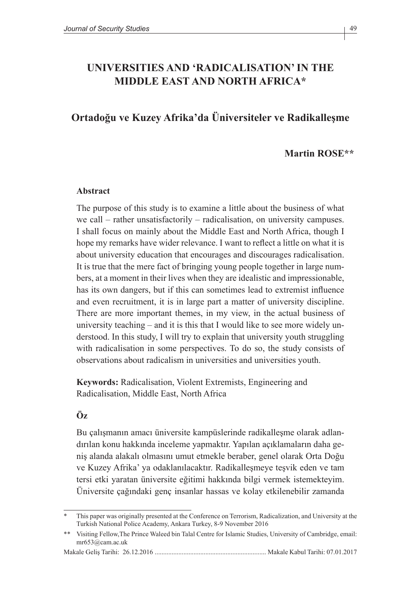# **UNIVERSITIES AND 'RADICALISATION' IN THE MIDDLE EAST AND NORTH AFRICA\***

## **Ortadoğu ve Kuzey Afrika'da Üniversiteler ve Radikalleşme**

#### **Martin ROSE\*\***

#### **Abstract**

The purpose of this study is to examine a little about the business of what we call – rather unsatisfactorily – radicalisation, on university campuses. I shall focus on mainly about the Middle East and North Africa, though I hope my remarks have wider relevance. I want to reflect a little on what it is about university education that encourages and discourages radicalisation. It is true that the mere fact of bringing young people together in large numbers, at a moment in their lives when they are idealistic and impressionable, has its own dangers, but if this can sometimes lead to extremist influence and even recruitment, it is in large part a matter of university discipline. There are more important themes, in my view, in the actual business of university teaching – and it is this that I would like to see more widely understood. In this study, I will try to explain that university youth struggling with radicalisation in some perspectives. To do so, the study consists of observations about radicalism in universities and universities youth.

**Keywords:** Radicalisation, Violent Extremists, Engineering and Radicalisation, Middle East, North Africa

#### **Öz**

Bu çalışmanın amacı üniversite kampüslerinde radikalleşme olarak adlandırılan konu hakkında inceleme yapmaktır. Yapılan açıklamaların daha geniş alanda alakalı olmasını umut etmekle beraber, genel olarak Orta Doğu ve Kuzey Afrika' ya odaklanılacaktır. Radikalleşmeye teşvik eden ve tam tersi etki yaratan üniversite eğitimi hakkında bilgi vermek istemekteyim. Üniversite çağındaki genç insanlar hassas ve kolay etkilenebilir zamanda

This paper was originally presented at the Conference on Terrorism, Radicalization, and University at the Turkish National Police Academy, Ankara Turkey, 8-9 November 2016

<sup>\*\*</sup> Visiting Fellow,The Prince Waleed bin Talal Centre for Islamic Studies, University of Cambridge, email: mr653@cam.ac.uk

Makale Geliş Tarihi: 26.12.2016 .................................................................. Makale Kabul Tarihi: 07.01.2017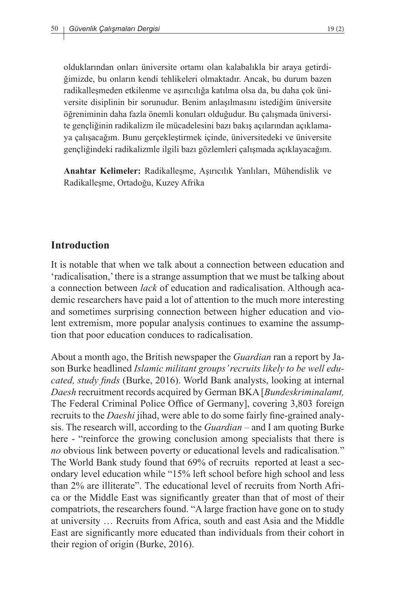olduklarından onları üniversite ortamı olan kalabalıkla bir araya getirdiğimizde, bu onların kendi tehlikeleri olmaktadır. Ancak, bu durum bazen radikalleşmeden etkilenme ve aşırıcılığa katılma olsa da, bu daha çok üniversite disiplinin bir sorunudur. Benim anlaşılmasını istediğim üniversite öğreniminin daha fazla önemli konuları olduğudur. Bu çalışmada üniversite gençliğinin radikalizm ile mücadelesini bazı bakış açılarından açıklamaya çalışacağım. Bunu gerçekleştirmek içinde, üniversitedeki ve üniversite gençliğindeki radikalizmle ilgili bazı gözlemleri çalışmada açıklayacağım.

**Anahtar Kelimeler:** Radikalleşme, Aşırıcılık Yanlıları, Mühendislik ve Radikalleşme, Ortadoğu, Kuzey Afrika

### **Introduction**

It is notable that when we talk about a connection between education and 'radicalisation,' there is a strange assumption that we must be talking about a connection between *lack* of education and radicalisation. Although academic researchers have paid a lot of attention to the much more interesting and sometimes surprising connection between higher education and violent extremism, more popular analysis continues to examine the assumption that poor education conduces to radicalisation.

About a month ago, the British newspaper the *Guardian* ran a report by Jason Burke headlined *Islamic militant groups' recruits likely to be well educated, study finds* (Burke, 2016). World Bank analysts, looking at internal *Daesh* recruitment records acquired by German BKA [*Bundeskriminalamt,*  The Federal Criminal Police Office of Germany], covering 3,803 foreign recruits to the *Daeshi* jihad, were able to do some fairly fine-grained analysis. The research will, according to the *Guardian* – and I am quoting Burke here - "reinforce the growing conclusion among specialists that there is *no* obvious link between poverty or educational levels and radicalisation." The World Bank study found that 69% of recruits reported at least a secondary level education while "15% left school before high school and less than 2% are illiterate". The educational level of recruits from North Africa or the Middle East was significantly greater than that of most of their compatriots, the researchers found. "A large fraction have gone on to study at university … Recruits from Africa, south and east Asia and the Middle East are significantly more educated than individuals from their cohort in their region of origin (Burke, 2016).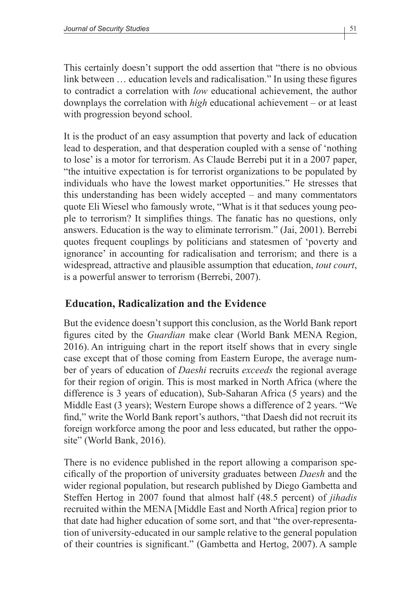This certainly doesn't support the odd assertion that "there is no obvious link between … education levels and radicalisation." In using these figures to contradict a correlation with *low* educational achievement, the author downplays the correlation with *high* educational achievement – or at least with progression beyond school.

It is the product of an easy assumption that poverty and lack of education lead to desperation, and that desperation coupled with a sense of 'nothing to lose' is a motor for terrorism. As Claude Berrebi put it in a 2007 paper, "the intuitive expectation is for terrorist organizations to be populated by individuals who have the lowest market opportunities." He stresses that this understanding has been widely accepted – and many commentators quote Eli Wiesel who famously wrote, "What is it that seduces young people to terrorism? It simplifies things. The fanatic has no questions, only answers. Education is the way to eliminate terrorism." (Jai, 2001). Berrebi quotes frequent couplings by politicians and statesmen of 'poverty and ignorance' in accounting for radicalisation and terrorism; and there is a widespread, attractive and plausible assumption that education, *tout court*, is a powerful answer to terrorism (Berrebi, 2007).

## **Education, Radicalization and the Evidence**

But the evidence doesn't support this conclusion, as the World Bank report figures cited by the *Guardian* make clear (World Bank MENA Region, 2016). An intriguing chart in the report itself shows that in every single case except that of those coming from Eastern Europe, the average number of years of education of *Daeshi* recruits *exceeds* the regional average for their region of origin. This is most marked in North Africa (where the difference is 3 years of education), Sub-Saharan Africa (5 years) and the Middle East (3 years); Western Europe shows a difference of 2 years. "We find," write the World Bank report's authors, "that Daesh did not recruit its foreign workforce among the poor and less educated, but rather the opposite" (World Bank, 2016).

There is no evidence published in the report allowing a comparison specifically of the proportion of university graduates between *Daesh* and the wider regional population, but research published by Diego Gambetta and Steffen Hertog in 2007 found that almost half (48.5 percent) of *jihadis* recruited within the MENA [Middle East and North Africa] region prior to that date had higher education of some sort, and that "the over-representation of university-educated in our sample relative to the general population of their countries is significant." (Gambetta and Hertog, 2007). A sample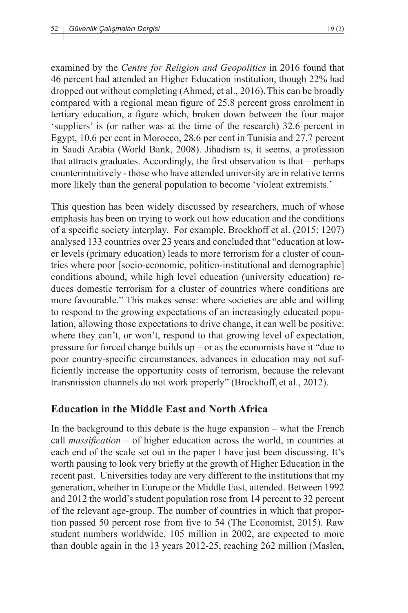examined by the *Centre for Religion and Geopolitics* in 2016 found that 46 percent had attended an Higher Education institution, though 22% had dropped out without completing (Ahmed, et al., 2016).This can be broadly compared with a regional mean figure of 25.8 percent gross enrolment in tertiary education, a figure which, broken down between the four major 'suppliers' is (or rather was at the time of the research) 32.6 percent in Egypt, 10.6 per cent in Morocco, 28.6 per cent in Tunisia and 27.7 percent in Saudi Arabia (World Bank, 2008). Jihadism is, it seems, a profession that attracts graduates. Accordingly, the first observation is that – perhaps counterintuitively - those who have attended university are in relative terms more likely than the general population to become 'violent extremists.'

This question has been widely discussed by researchers, much of whose emphasis has been on trying to work out how education and the conditions of a specific society interplay. For example, Brockhoff et al. (2015: 1207) analysed 133 countries over 23 years and concluded that "education at lower levels (primary education) leads to more terrorism for a cluster of countries where poor [socio-economic, politico-institutional and demographic] conditions abound, while high level education (university education) reduces domestic terrorism for a cluster of countries where conditions are more favourable." This makes sense: where societies are able and willing to respond to the growing expectations of an increasingly educated population, allowing those expectations to drive change, it can well be positive: where they can't, or won't, respond to that growing level of expectation, pressure for forced change builds up – or as the economists have it "due to poor country-specific circumstances, advances in education may not sufficiently increase the opportunity costs of terrorism, because the relevant transmission channels do not work properly" (Brockhoff, et al., 2012).

# **Education in the Middle East and North Africa**

In the background to this debate is the huge expansion – what the French call *massification* – of higher education across the world, in countries at each end of the scale set out in the paper I have just been discussing. It's worth pausing to look very briefly at the growth of Higher Education in the recent past. Universities today are very different to the institutions that my generation, whether in Europe or the Middle East, attended. Between 1992 and 2012 the world's student population rose from 14 percent to 32 percent of the relevant age-group. The number of countries in which that proportion passed 50 percent rose from five to 54 (The Economist, 2015). Raw student numbers worldwide, 105 million in 2002, are expected to more than double again in the 13 years 2012-25, reaching 262 million (Maslen,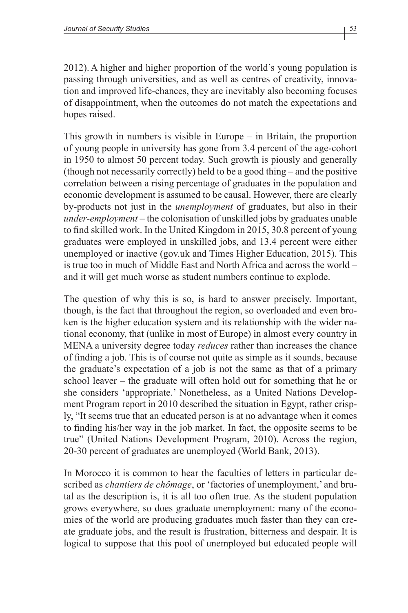2012).A higher and higher proportion of the world's young population is passing through universities, and as well as centres of creativity, innovation and improved life-chances, they are inevitably also becoming focuses of disappointment, when the outcomes do not match the expectations and hopes raised.

This growth in numbers is visible in Europe – in Britain, the proportion of young people in university has gone from 3.4 percent of the age-cohort in 1950 to almost 50 percent today. Such growth is piously and generally (though not necessarily correctly) held to be a good thing – and the positive correlation between a rising percentage of graduates in the population and economic development is assumed to be causal. However, there are clearly by-products not just in the *unemployment* of graduates, but also in their *under-employment* – the colonisation of unskilled jobs by graduates unable to find skilled work. In the United Kingdom in 2015, 30.8 percent of young graduates were employed in unskilled jobs, and 13.4 percent were either unemployed or inactive (gov.uk and Times Higher Education, 2015). This is true too in much of Middle East and North Africa and across the world – and it will get much worse as student numbers continue to explode.

The question of why this is so, is hard to answer precisely. Important, though, is the fact that throughout the region, so overloaded and even broken is the higher education system and its relationship with the wider national economy, that (unlike in most of Europe) in almost every country in MENA a university degree today *reduces* rather than increases the chance of finding a job. This is of course not quite as simple as it sounds, because the graduate's expectation of a job is not the same as that of a primary school leaver – the graduate will often hold out for something that he or she considers 'appropriate.' Nonetheless, as a United Nations Development Program report in 2010 described the situation in Egypt, rather crisply, "It seems true that an educated person is at no advantage when it comes to finding his/her way in the job market. In fact, the opposite seems to be true" (United Nations Development Program, 2010). Across the region, 20-30 percent of graduates are unemployed (World Bank, 2013).

In Morocco it is common to hear the faculties of letters in particular described as *chantiers de chômage*, or 'factories of unemployment,' and brutal as the description is, it is all too often true. As the student population grows everywhere, so does graduate unemployment: many of the economies of the world are producing graduates much faster than they can create graduate jobs, and the result is frustration, bitterness and despair. It is logical to suppose that this pool of unemployed but educated people will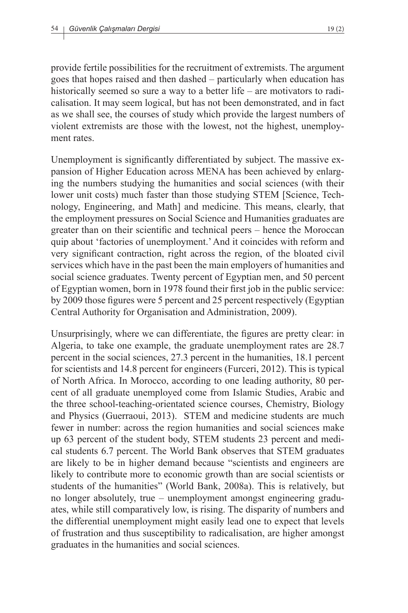provide fertile possibilities for the recruitment of extremists. The argument goes that hopes raised and then dashed – particularly when education has historically seemed so sure a way to a better life – are motivators to radicalisation. It may seem logical, but has not been demonstrated, and in fact as we shall see, the courses of study which provide the largest numbers of violent extremists are those with the lowest, not the highest, unemployment rates.

Unemployment is significantly differentiated by subject. The massive expansion of Higher Education across MENA has been achieved by enlarging the numbers studying the humanities and social sciences (with their lower unit costs) much faster than those studying STEM [Science, Technology, Engineering, and Math] and medicine. This means, clearly, that the employment pressures on Social Science and Humanities graduates are greater than on their scientific and technical peers – hence the Moroccan quip about 'factories of unemployment.' And it coincides with reform and very significant contraction, right across the region, of the bloated civil services which have in the past been the main employers of humanities and social science graduates. Twenty percent of Egyptian men, and 50 percent of Egyptian women, born in 1978 found their first job in the public service: by 2009 those figures were 5 percent and 25 percent respectively (Egyptian Central Authority for Organisation and Administration, 2009).

Unsurprisingly, where we can differentiate, the figures are pretty clear: in Algeria, to take one example, the graduate unemployment rates are 28.7 percent in the social sciences, 27.3 percent in the humanities, 18.1 percent for scientists and 14.8 percent for engineers (Furceri, 2012). This is typical of North Africa. In Morocco, according to one leading authority, 80 percent of all graduate unemployed come from Islamic Studies, Arabic and the three school-teaching-orientated science courses, Chemistry, Biology and Physics (Guerraoui, 2013). STEM and medicine students are much fewer in number: across the region humanities and social sciences make up 63 percent of the student body, STEM students 23 percent and medical students 6.7 percent. The World Bank observes that STEM graduates are likely to be in higher demand because "scientists and engineers are likely to contribute more to economic growth than are social scientists or students of the humanities" (World Bank, 2008a). This is relatively, but no longer absolutely, true – unemployment amongst engineering graduates, while still comparatively low, is rising. The disparity of numbers and the differential unemployment might easily lead one to expect that levels of frustration and thus susceptibility to radicalisation, are higher amongst graduates in the humanities and social sciences.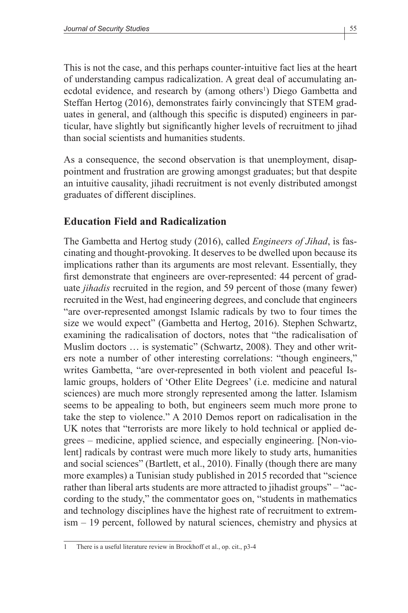This is not the case, and this perhaps counter-intuitive fact lies at the heart of understanding campus radicalization. A great deal of accumulating anecdotal evidence, and research by (among others<sup>1</sup>) Diego Gambetta and Steffan Hertog (2016), demonstrates fairly convincingly that STEM graduates in general, and (although this specific is disputed) engineers in particular, have slightly but significantly higher levels of recruitment to jihad than social scientists and humanities students.

As a consequence, the second observation is that unemployment, disappointment and frustration are growing amongst graduates; but that despite an intuitive causality, jihadi recruitment is not evenly distributed amongst graduates of different disciplines.

## **Education Field and Radicalization**

The Gambetta and Hertog study (2016), called *Engineers of Jihad*, is fascinating and thought-provoking. It deserves to be dwelled upon because its implications rather than its arguments are most relevant. Essentially, they first demonstrate that engineers are over-represented: 44 percent of graduate *jihadis* recruited in the region, and 59 percent of those (many fewer) recruited in the West, had engineering degrees, and conclude that engineers "are over-represented amongst Islamic radicals by two to four times the size we would expect" (Gambetta and Hertog, 2016). Stephen Schwartz, examining the radicalisation of doctors, notes that "the radicalisation of Muslim doctors … is systematic" (Schwartz, 2008). They and other writers note a number of other interesting correlations: "though engineers," writes Gambetta, "are over-represented in both violent and peaceful Islamic groups, holders of 'Other Elite Degrees' (i.e. medicine and natural sciences) are much more strongly represented among the latter. Islamism seems to be appealing to both, but engineers seem much more prone to take the step to violence." A 2010 Demos report on radicalisation in the UK notes that "terrorists are more likely to hold technical or applied degrees – medicine, applied science, and especially engineering. [Non-violent] radicals by contrast were much more likely to study arts, humanities and social sciences" (Bartlett, et al., 2010). Finally (though there are many more examples) a Tunisian study published in 2015 recorded that "science rather than liberal arts students are more attracted to jihadist groups" – "according to the study," the commentator goes on, "students in mathematics and technology disciplines have the highest rate of recruitment to extremism – 19 percent, followed by natural sciences, chemistry and physics at

<sup>1</sup> There is a useful literature review in Brockhoff et al., op. cit., p3-4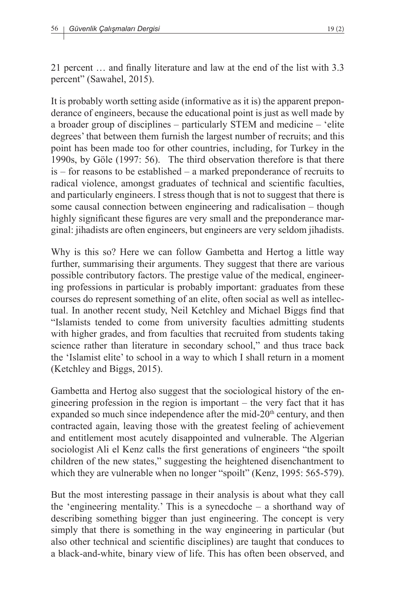It is probably worth setting aside (informative as it is) the apparent preponderance of engineers, because the educational point is just as well made by a broader group of disciplines – particularly STEM and medicine – 'elite degrees' that between them furnish the largest number of recruits; and this point has been made too for other countries, including, for Turkey in the 1990s, by Göle (1997: 56). The third observation therefore is that there is – for reasons to be established – a marked preponderance of recruits to radical violence, amongst graduates of technical and scientific faculties, and particularly engineers. I stress though that is not to suggest that there is some causal connection between engineering and radicalisation – though highly significant these figures are very small and the preponderance marginal: jihadists are often engineers, but engineers are very seldom jihadists.

Why is this so? Here we can follow Gambetta and Hertog a little way further, summarising their arguments. They suggest that there are various possible contributory factors. The prestige value of the medical, engineering professions in particular is probably important: graduates from these courses do represent something of an elite, often social as well as intellectual. In another recent study, Neil Ketchley and Michael Biggs find that "Islamists tended to come from university faculties admitting students with higher grades, and from faculties that recruited from students taking science rather than literature in secondary school," and thus trace back the 'Islamist elite' to school in a way to which I shall return in a moment (Ketchley and Biggs, 2015).

Gambetta and Hertog also suggest that the sociological history of the engineering profession in the region is important – the very fact that it has expanded so much since independence after the mid-20<sup>th</sup> century, and then contracted again, leaving those with the greatest feeling of achievement and entitlement most acutely disappointed and vulnerable. The Algerian sociologist Ali el Kenz calls the first generations of engineers "the spoilt children of the new states," suggesting the heightened disenchantment to which they are vulnerable when no longer "spoilt" (Kenz, 1995: 565-579).

But the most interesting passage in their analysis is about what they call the 'engineering mentality.' This is a synecdoche – a shorthand way of describing something bigger than just engineering. The concept is very simply that there is something in the way engineering in particular (but also other technical and scientific disciplines) are taught that conduces to a black-and-white, binary view of life. This has often been observed, and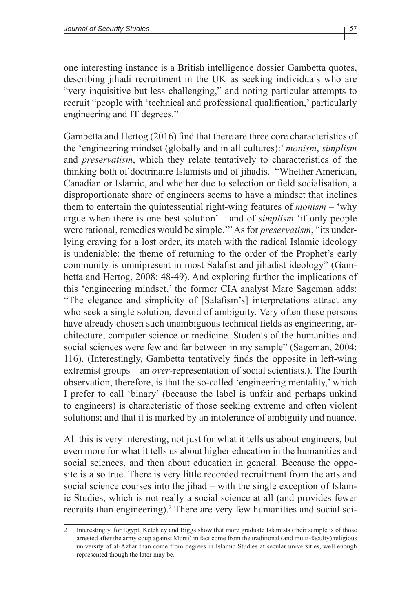one interesting instance is a British intelligence dossier Gambetta quotes, describing jihadi recruitment in the UK as seeking individuals who are "very inquisitive but less challenging," and noting particular attempts to recruit "people with 'technical and professional qualification,' particularly engineering and IT degrees."

Gambetta and Hertog (2016) find that there are three core characteristics of the 'engineering mindset (globally and in all cultures):' *monism*, *simplism* and *preservatism*, which they relate tentatively to characteristics of the thinking both of doctrinaire Islamists and of jihadis. "Whether American, Canadian or Islamic, and whether due to selection or field socialisation, a disproportionate share of engineers seems to have a mindset that inclines them to entertain the quintessential right-wing features of *monism* – 'why argue when there is one best solution' – and of *simplism* 'if only people were rational, remedies would be simple.'" As for *preservatism*, "its underlying craving for a lost order, its match with the radical Islamic ideology is undeniable: the theme of returning to the order of the Prophet's early community is omnipresent in most Salafist and jihadist ideology" (Gambetta and Hertog, 2008: 48-49). And exploring further the implications of this 'engineering mindset,' the former CIA analyst Marc Sageman adds: "The elegance and simplicity of [Salafism's] interpretations attract any who seek a single solution, devoid of ambiguity. Very often these persons have already chosen such unambiguous technical fields as engineering, architecture, computer science or medicine. Students of the humanities and social sciences were few and far between in my sample" (Sageman, 2004: 116). (Interestingly, Gambetta tentatively finds the opposite in left-wing extremist groups – an *over*-representation of social scientists.). The fourth observation, therefore, is that the so-called 'engineering mentality,' which I prefer to call 'binary' (because the label is unfair and perhaps unkind to engineers) is characteristic of those seeking extreme and often violent solutions; and that it is marked by an intolerance of ambiguity and nuance.

All this is very interesting, not just for what it tells us about engineers, but even more for what it tells us about higher education in the humanities and social sciences, and then about education in general. Because the opposite is also true. There is very little recorded recruitment from the arts and social science courses into the jihad – with the single exception of Islamic Studies, which is not really a social science at all (and provides fewer recruits than engineering).<sup>2</sup> There are very few humanities and social sci-

<sup>2</sup> Interestingly, for Egypt, Ketchley and Biggs show that more graduate Islamists (their sample is of those arrested after the army coup against Morsi) in fact come from the traditional (and multi-faculty) religious university of al-Azhar than come from degrees in Islamic Studies at secular universities, well enough represented though the later may be.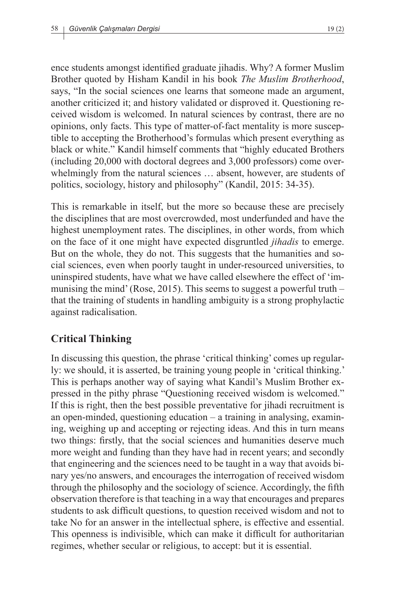ence students amongst identified graduate jihadis. Why? A former Muslim Brother quoted by Hisham Kandil in his book *The Muslim Brotherhood*, says, "In the social sciences one learns that someone made an argument, another criticized it; and history validated or disproved it. Questioning received wisdom is welcomed. In natural sciences by contrast, there are no opinions, only facts. This type of matter-of-fact mentality is more susceptible to accepting the Brotherhood's formulas which present everything as black or white." Kandil himself comments that "highly educated Brothers (including 20,000 with doctoral degrees and 3,000 professors) come overwhelmingly from the natural sciences … absent, however, are students of politics, sociology, history and philosophy" (Kandil, 2015: 34-35).

This is remarkable in itself, but the more so because these are precisely the disciplines that are most overcrowded, most underfunded and have the highest unemployment rates. The disciplines, in other words, from which on the face of it one might have expected disgruntled *jihadis* to emerge. But on the whole, they do not. This suggests that the humanities and social sciences, even when poorly taught in under-resourced universities, to uninspired students, have what we have called elsewhere the effect of 'immunising the mind' (Rose, 2015). This seems to suggest a powerful truth – that the training of students in handling ambiguity is a strong prophylactic against radicalisation.

# **Critical Thinking**

In discussing this question, the phrase 'critical thinking' comes up regularly: we should, it is asserted, be training young people in 'critical thinking.' This is perhaps another way of saying what Kandil's Muslim Brother expressed in the pithy phrase "Questioning received wisdom is welcomed." If this is right, then the best possible preventative for jihadi recruitment is an open-minded, questioning education – a training in analysing, examining, weighing up and accepting or rejecting ideas. And this in turn means two things: firstly, that the social sciences and humanities deserve much more weight and funding than they have had in recent years; and secondly that engineering and the sciences need to be taught in a way that avoids binary yes/no answers, and encourages the interrogation of received wisdom through the philosophy and the sociology of science. Accordingly, the fifth observation therefore is that teaching in a way that encourages and prepares students to ask difficult questions, to question received wisdom and not to take No for an answer in the intellectual sphere, is effective and essential. This openness is indivisible, which can make it difficult for authoritarian regimes, whether secular or religious, to accept: but it is essential.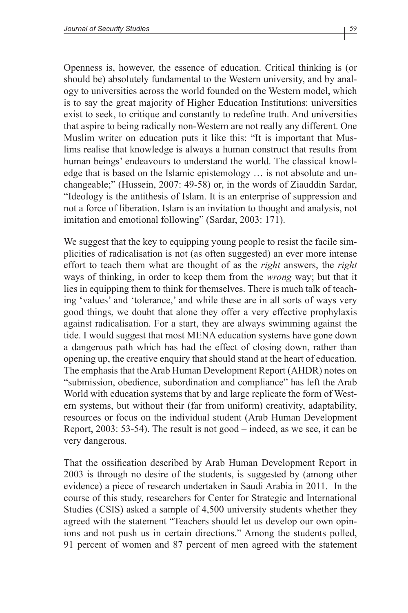Openness is, however, the essence of education. Critical thinking is (or should be) absolutely fundamental to the Western university, and by analogy to universities across the world founded on the Western model, which is to say the great majority of Higher Education Institutions: universities exist to seek, to critique and constantly to redefine truth. And universities that aspire to being radically non-Western are not really any different. One Muslim writer on education puts it like this: "It is important that Muslims realise that knowledge is always a human construct that results from human beings' endeavours to understand the world. The classical knowledge that is based on the Islamic epistemology … is not absolute and unchangeable;" (Hussein, 2007: 49-58) or, in the words of Ziauddin Sardar, "Ideology is the antithesis of Islam. It is an enterprise of suppression and not a force of liberation. Islam is an invitation to thought and analysis, not imitation and emotional following" (Sardar, 2003: 171).

We suggest that the key to equipping young people to resist the facile simplicities of radicalisation is not (as often suggested) an ever more intense effort to teach them what are thought of as the *right* answers, the *right* ways of thinking, in order to keep them from the *wrong* way; but that it lies in equipping them to think for themselves. There is much talk of teaching 'values' and 'tolerance,' and while these are in all sorts of ways very good things, we doubt that alone they offer a very effective prophylaxis against radicalisation. For a start, they are always swimming against the tide. I would suggest that most MENA education systems have gone down a dangerous path which has had the effect of closing down, rather than opening up, the creative enquiry that should stand at the heart of education. The emphasis that the Arab Human Development Report (AHDR) notes on "submission, obedience, subordination and compliance" has left the Arab World with education systems that by and large replicate the form of Western systems, but without their (far from uniform) creativity, adaptability, resources or focus on the individual student (Arab Human Development Report, 2003: 53-54). The result is not good – indeed, as we see, it can be very dangerous.

That the ossification described by Arab Human Development Report in 2003 is through no desire of the students, is suggested by (among other evidence) a piece of research undertaken in Saudi Arabia in 2011. In the course of this study, researchers for Center for Strategic and International Studies (CSIS) asked a sample of 4,500 university students whether they agreed with the statement "Teachers should let us develop our own opinions and not push us in certain directions." Among the students polled, 91 percent of women and 87 percent of men agreed with the statement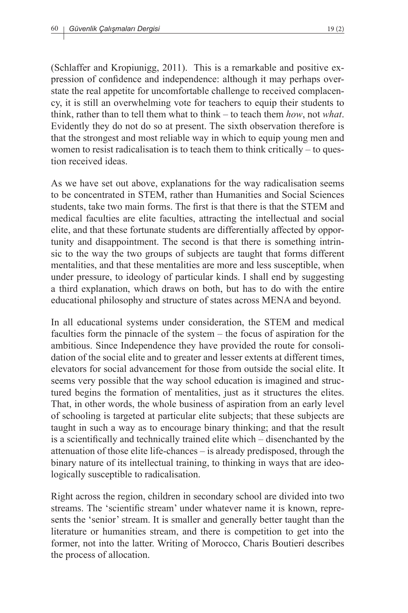(Schlaffer and Kropiunigg, 2011). This is a remarkable and positive expression of confidence and independence: although it may perhaps overstate the real appetite for uncomfortable challenge to received complacency, it is still an overwhelming vote for teachers to equip their students to think, rather than to tell them what to think – to teach them *how*, not *what*. Evidently they do not do so at present. The sixth observation therefore is that the strongest and most reliable way in which to equip young men and women to resist radicalisation is to teach them to think critically – to question received ideas.

As we have set out above, explanations for the way radicalisation seems to be concentrated in STEM, rather than Humanities and Social Sciences students, take two main forms. The first is that there is that the STEM and medical faculties are elite faculties, attracting the intellectual and social elite, and that these fortunate students are differentially affected by opportunity and disappointment. The second is that there is something intrinsic to the way the two groups of subjects are taught that forms different mentalities, and that these mentalities are more and less susceptible, when under pressure, to ideology of particular kinds. I shall end by suggesting a third explanation, which draws on both, but has to do with the entire educational philosophy and structure of states across MENA and beyond.

In all educational systems under consideration, the STEM and medical faculties form the pinnacle of the system – the focus of aspiration for the ambitious. Since Independence they have provided the route for consolidation of the social elite and to greater and lesser extents at different times, elevators for social advancement for those from outside the social elite. It seems very possible that the way school education is imagined and structured begins the formation of mentalities, just as it structures the elites. That, in other words, the whole business of aspiration from an early level of schooling is targeted at particular elite subjects; that these subjects are taught in such a way as to encourage binary thinking; and that the result is a scientifically and technically trained elite which – disenchanted by the attenuation of those elite life-chances – is already predisposed, through the binary nature of its intellectual training, to thinking in ways that are ideologically susceptible to radicalisation.

Right across the region, children in secondary school are divided into two streams. The 'scientific stream' under whatever name it is known, represents the 'senior' stream. It is smaller and generally better taught than the literature or humanities stream, and there is competition to get into the former, not into the latter. Writing of Morocco, Charis Boutieri describes the process of allocation.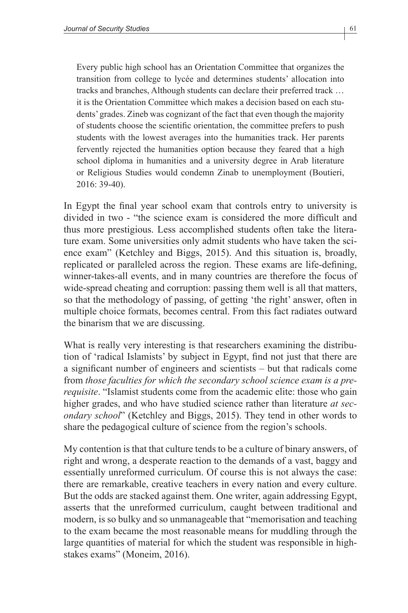Every public high school has an Orientation Committee that organizes the transition from college to lycée and determines students' allocation into tracks and branches, Although students can declare their preferred track … it is the Orientation Committee which makes a decision based on each students' grades. Zineb was cognizant of the fact that even though the majority of students choose the scientific orientation, the committee prefers to push students with the lowest averages into the humanities track. Her parents fervently rejected the humanities option because they feared that a high school diploma in humanities and a university degree in Arab literature or Religious Studies would condemn Zinab to unemployment (Boutieri, 2016: 39-40).

In Egypt the final year school exam that controls entry to university is divided in two - "the science exam is considered the more difficult and thus more prestigious. Less accomplished students often take the literature exam. Some universities only admit students who have taken the science exam" (Ketchley and Biggs, 2015). And this situation is, broadly, replicated or paralleled across the region. These exams are life-defining, winner-takes-all events, and in many countries are therefore the focus of wide-spread cheating and corruption: passing them well is all that matters, so that the methodology of passing, of getting 'the right' answer, often in multiple choice formats, becomes central. From this fact radiates outward the binarism that we are discussing.

What is really very interesting is that researchers examining the distribution of 'radical Islamists' by subject in Egypt, find not just that there are a significant number of engineers and scientists – but that radicals come from *those faculties for which the secondary school science exam is a prerequisite*. "Islamist students come from the academic elite: those who gain higher grades, and who have studied science rather than literature *at secondary school*" (Ketchley and Biggs, 2015). They tend in other words to share the pedagogical culture of science from the region's schools.

My contention is that that culture tends to be a culture of binary answers, of right and wrong, a desperate reaction to the demands of a vast, baggy and essentially unreformed curriculum. Of course this is not always the case: there are remarkable, creative teachers in every nation and every culture. But the odds are stacked against them. One writer, again addressing Egypt, asserts that the unreformed curriculum, caught between traditional and modern, is so bulky and so unmanageable that "memorisation and teaching to the exam became the most reasonable means for muddling through the large quantities of material for which the student was responsible in highstakes exams" (Moneim, 2016).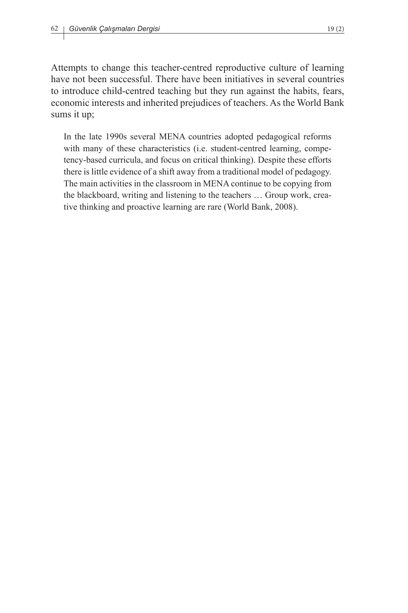Attempts to change this teacher-centred reproductive culture of learning have not been successful. There have been initiatives in several countries to introduce child-centred teaching but they run against the habits, fears, economic interests and inherited prejudices of teachers. As the World Bank sums it up;

In the late 1990s several MENA countries adopted pedagogical reforms with many of these characteristics (i.e. student-centred learning, competency-based curricula, and focus on critical thinking). Despite these efforts there is little evidence of a shift away from a traditional model of pedagogy. The main activities in the classroom in MENA continue to be copying from the blackboard, writing and listening to the teachers … Group work, creative thinking and proactive learning are rare (World Bank, 2008).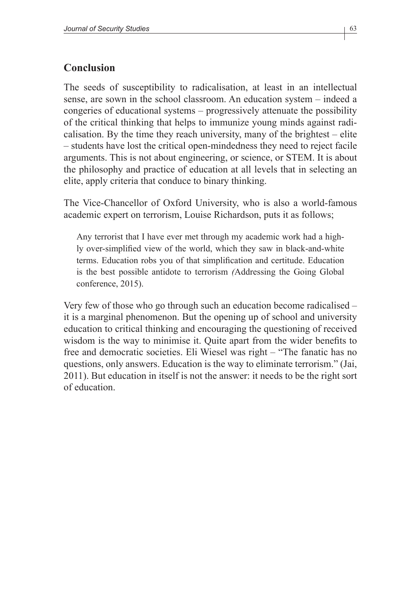## **Conclusion**

The seeds of susceptibility to radicalisation, at least in an intellectual sense, are sown in the school classroom. An education system – indeed a congeries of educational systems – progressively attenuate the possibility of the critical thinking that helps to immunize young minds against radicalisation. By the time they reach university, many of the brightest – elite – students have lost the critical open-mindedness they need to reject facile arguments. This is not about engineering, or science, or STEM. It is about the philosophy and practice of education at all levels that in selecting an elite, apply criteria that conduce to binary thinking.

The Vice-Chancellor of Oxford University, who is also a world-famous academic expert on terrorism, Louise Richardson, puts it as follows;

Any terrorist that I have ever met through my academic work had a highly over-simplified view of the world, which they saw in black-and-white terms. Education robs you of that simplification and certitude. Education is the best possible antidote to terrorism *(*Addressing the Going Global conference, 2015).

Very few of those who go through such an education become radicalised – it is a marginal phenomenon. But the opening up of school and university education to critical thinking and encouraging the questioning of received wisdom is the way to minimise it. Quite apart from the wider benefits to free and democratic societies. Eli Wiesel was right – "The fanatic has no questions, only answers. Education is the way to eliminate terrorism." (Jai, 2011). But education in itself is not the answer: it needs to be the right sort of education.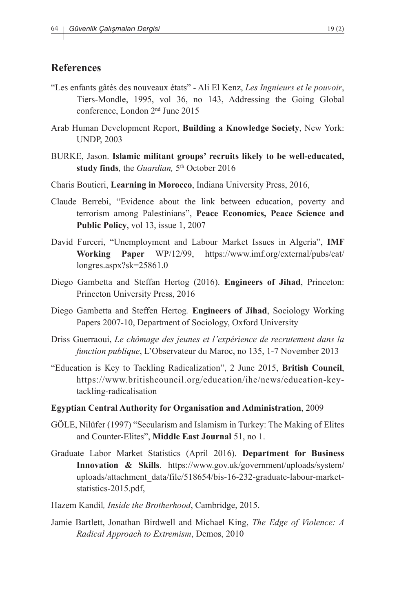### **References**

- "Les enfants gâtés des nouveaux états" Ali El Kenz, *Les Ingnieurs et le pouvoir*, Tiers-Mondle, 1995, vol 36, no 143, Addressing the Going Global conference, London 2nd June 2015
- Arab Human Development Report, **Building a Knowledge Society**, New York: UNDP, 2003
- BURKE, Jason. **Islamic militant groups' recruits likely to be well-educated, study finds***,* the *Guardian,* 5th October 2016
- Charis Boutieri, **Learning in Morocco**, Indiana University Press, 2016,
- Claude Berrebi, "Evidence about the link between education, poverty and terrorism among Palestinians", **Peace Economics, Peace Science and Public Policy**, vol 13, issue 1, 2007
- David Furceri, "Unemployment and Labour Market Issues in Algeria", **IMF Working Paper** WP/12/99, https://www.imf.org/external/pubs/cat/ longres.aspx?sk=25861.0
- Diego Gambetta and Steffan Hertog (2016). **Engineers of Jihad**, Princeton: Princeton University Press, 2016
- Diego Gambetta and Steffen Hertog*.* **Engineers of Jihad**, Sociology Working Papers 2007-10, Department of Sociology, Oxford University
- Driss Guerraoui, *Le chômage des jeunes et l'expérience de recrutement dans la function publique*, L'Observateur du Maroc, no 135, 1-7 November 2013
- "Education is Key to Tackling Radicalization", 2 June 2015, **British Council**, https://www.britishcouncil.org/education/ihe/news/education-keytackling-radicalisation
- **Egyptian Central Authority for Organisation and Administration**, 2009
- GÖLE, Nilüfer (1997) "Secularism and Islamism in Turkey: The Making of Elites and Counter-Elites", **Middle East Journal** 51, no 1.
- Graduate Labor Market Statistics (April 2016). **Department for Business Innovation & Skills**. https://www.gov.uk/government/uploads/system/ uploads/attachment\_data/file/518654/bis-16-232-graduate-labour-marketstatistics-2015.pdf,
- Hazem Kandil*, Inside the Brotherhood*, Cambridge, 2015.
- Jamie Bartlett, Jonathan Birdwell and Michael King, *The Edge of Violence: A Radical Approach to Extremism*, Demos, 2010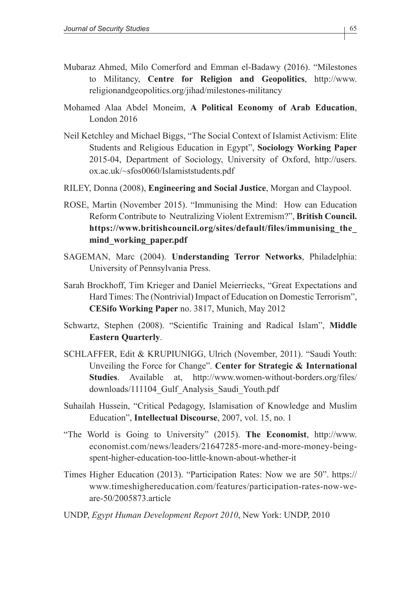- Mubaraz Ahmed, Milo Comerford and Emman el-Badawy (2016). "Milestones to Militancy, **Centre for Religion and Geopolitics**, http://www. religionandgeopolitics.org/jihad/milestones-militancy
- Mohamed Alaa Abdel Moneim, **A Political Economy of Arab Education**, London 2016
- Neil Ketchley and Michael Biggs, "The Social Context of Islamist Activism: Elite Students and Religious Education in Egypt", **Sociology Working Paper** 2015-04, Department of Sociology, University of Oxford, http://users. ox.ac.uk/~sfos0060/Islamiststudents.pdf
- RILEY, Donna (2008), **Engineering and Social Justice**, Morgan and Claypool.
- ROSE, Martin (November 2015). "Immunising the Mind: How can Education Reform Contribute to Neutralizing Violent Extremism?", **British Council. https://www.britishcouncil.org/sites/default/files/immunising\_the\_ mind\_working\_paper.pdf**
- SAGEMAN, Marc (2004). **Understanding Terror Networks**, Philadelphia: University of Pennsylvania Press.
- Sarah Brockhoff, Tim Krieger and Daniel Meierriecks, "Great Expectations and Hard Times: The (Nontrivial) Impact of Education on Domestic Terrorism", **CESifo Working Paper** no. 3817, Munich, May 2012
- Schwartz, Stephen (2008). "Scientific Training and Radical Islam", **Middle Eastern Quarterly**.
- SCHLAFFER, Edit & KRUPIUNIGG, Ulrich (November, 2011). "Saudi Youth: Unveiling the Force for Change". **Center for Strategic & International Studies**. Available at, http://www.women-without-borders.org/files/ downloads/111104\_Gulf\_Analysis\_Saudi\_Youth.pdf
- Suhailah Hussein, "Critical Pedagogy, Islamisation of Knowledge and Muslim Education", **Intellectual Discourse**, 2007, vol. 15, no. 1
- "The World is Going to University" (2015). **The Economist**, http://www. economist.com/news/leaders/21647285-more-and-more-money-beingspent-higher-education-too-little-known-about-whether-it
- Times Higher Education (2013). "Participation Rates: Now we are 50". https:// www.timeshighereducation.com/features/participation-rates-now-weare-50/2005873.article
- UNDP, *Egypt Human Development Report 2010*, New York: UNDP, 2010